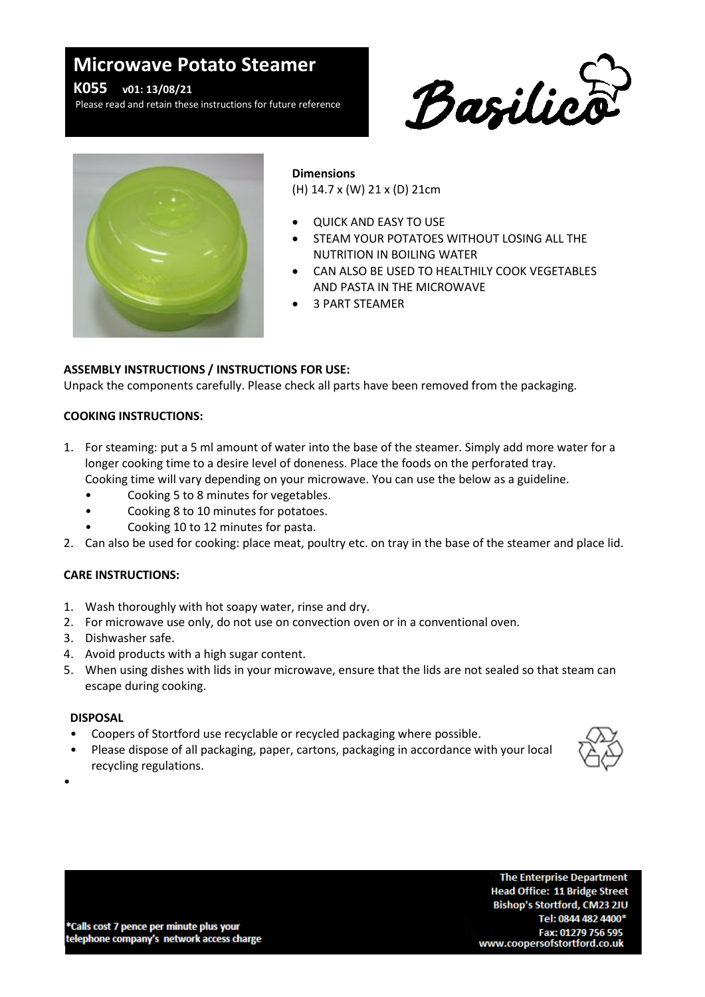# **Microwave Potato Steamer**

Please read and retain these instructions for future reference **K055 v01: 13/08/21**

Please read and retain these instructions for future reference





#### **Dimensions**

(H) 14.7 x (W) 21 x (D) 21cm

- QUICK AND EASY TO USE
- STEAM YOUR POTATOES WITHOUT LOSING ALL THE NUTRITION IN BOILING WATER
- CAN ALSO BE USED TO HEALTHILY COOK VEGETABLES AND PASTA IN THE MICROWAVE
- 3 PART STEAMER

# **ASSEMBLY INSTRUCTIONS / INSTRUCTIONS FOR USE:**

Unpack the components carefully. Please check all parts have been removed from the packaging.

#### **COOKING INSTRUCTIONS:**

- 1. For steaming: put a 5 ml amount of water into the base of the steamer. Simply add more water for a longer cooking time to a desire level of doneness. Place the foods on the perforated tray. Cooking time will vary depending on your microwave. You can use the below as a guideline.
	- Cooking 5 to 8 minutes for vegetables.
	- Cooking 8 to 10 minutes for potatoes.
	- Cooking 10 to 12 minutes for pasta.
- 2. Can also be used for cooking: place meat, poultry etc. on tray in the base of the steamer and place lid.

## **CARE INSTRUCTIONS:**

- 1. Wash thoroughly with hot soapy water, rinse and dry.
- 2. For microwave use only, do not use on convection oven or in a conventional oven.
- 3. Dishwasher safe.
- 4. Avoid products with a high sugar content.
- 5. When using dishes with lids in your microwave, ensure that the lids are not sealed so that steam can escape during cooking.

## **DISPOSAL**

- Coopers of Stortford use recyclable or recycled packaging where possible.
- Please dispose of all packaging, paper, cartons, packaging in accordance with your local recycling regulations.



•

\*Calls cost 7 pence per minute plus your telephone company's network access charge

**The Enterprise Department Head Office: 11 Bridge Street** Bishop's Stortford, CM23 2JU Tel: 0844 482 4400\* Fax: 01279 756 595 www.coopersofstortford.co.uk